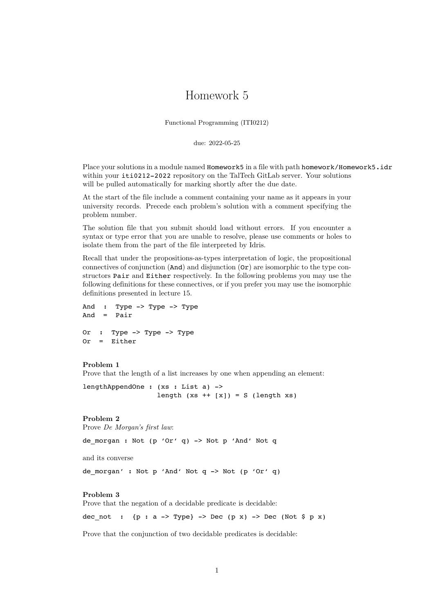## Homework 5

Functional Programming (ITI0212)

due: 2022-05-25

Place your solutions in a module named Homework5 in a file with path homework/Homework5.idr within your iti0212-2022 repository on the TalTech GitLab server. Your solutions will be pulled automatically for marking shortly after the due date.

At the start of the file include a comment containing your name as it appears in your university records. Precede each problem's solution with a comment specifying the problem number.

The solution file that you submit should load without errors. If you encounter a syntax or type error that you are unable to resolve, please use comments or holes to isolate them from the part of the file interpreted by Idris.

Recall that under the propositions-as-types interpretation of logic, the propositional connectives of conjunction  $(And)$  and disjunction  $(Or)$  are isomorphic to the type constructors Pair and Either respectively. In the following problems you may use the following definitions for these connectives, or if you prefer you may use the isomorphic definitions presented in lecture 15.

```
And : Type -> Type -> Type
And = Pair
Or : Type -> Type -> Type
Or = Either
```
## **Problem 1**

Prove that the length of a list increases by one when appending an element:

lengthAppendOne : (xs : List a) -> length  $(xs + [x]) = S$  (length  $xs$ )

## **Problem 2**

Prove *De Morgan's first law*:

de\_morgan : Not (p 'Or' q) -> Not p 'And' Not q

and its converse

de\_morgan' : Not p 'And' Not q -> Not (p 'Or' q)

## **Problem 3**

Prove that the negation of a decidable predicate is decidable:

dec not :  ${p : a \rightharpoonup Type}$  -> Dec  $(p x)$  -> Dec (Not  $s p x$ )

Prove that the conjunction of two decidable predicates is decidable: